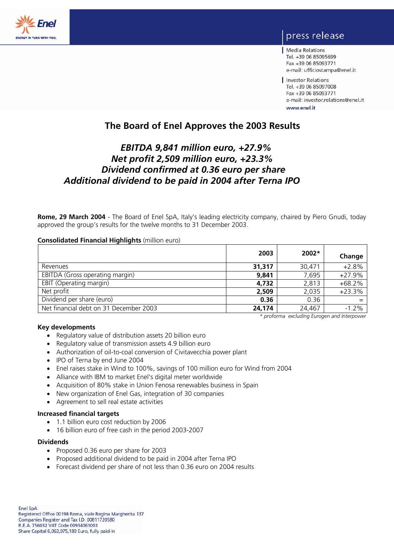

# press release

Media Relations Tel. +39 06 85095699 Fax +39 06 85093771 e-mail: ufficiostampa@enel.it

Investor Relations Tel. +39 06 85097008 Fax +39 06 85093771 e-mail: investor.relations@enel.it www.enel.it

# **The Board of Enel Approves the 2003 Results**

# *EBITDA 9,841 million euro, +27.9% Net profit 2,509 million euro, +23.3% Dividend confirmed at 0.36 euro per share Additional dividend to be paid in 2004 after Terna IPO*

**Rome, 29 March 2004** - The Board of Enel SpA, Italy's leading electricity company, chaired by Piero Gnudi, today approved the group's results for the twelve months to 31 December 2003.

# **Consolidated Financial Highlights** (million euro)

|                                        | 2003   | $2002*$ | Change   |
|----------------------------------------|--------|---------|----------|
| Revenues                               | 31,317 | 30,471  | $+2.8%$  |
| EBITDA (Gross operating margin)        | 9,841  | 7,695   | $+27.9%$ |
| EBIT (Operating margin)                | 4,732  | 2,813   | $+68.2%$ |
| Net profit                             | 2,509  | 2,035   | $+23.3%$ |
| Dividend per share (euro)              | 0.36   | 0.36    |          |
| Net financial debt on 31 December 2003 | 24,174 | 24,467  | $-1.2%$  |

 *\* proforma excluding Eurogen and Interpower* 

# **Key developments**

- Regulatory value of distribution assets 20 billion euro
- Regulatory value of transmission assets 4.9 billion euro
- Authorization of oil-to-coal conversion of Civitavecchia power plant
- IPO of Terna by end June 2004
- Enel raises stake in Wind to 100%, savings of 100 million euro for Wind from 2004
- Alliance with IBM to market Enel's digital meter worldwide
- Acquisition of 80% stake in Union Fenosa renewables business in Spain
- New organization of Enel Gas, integration of 30 companies
- Agreement to sell real estate activities

## **Increased financial targets**

- 1.1 billion euro cost reduction by 2006
- 16 billion euro of free cash in the period 2003-2007

#### **Dividends**

- Proposed 0.36 euro per share for 2003
- Proposed additional dividend to be paid in 2004 after Terna IPO
- Forecast dividend per share of not less than 0.36 euro on 2004 results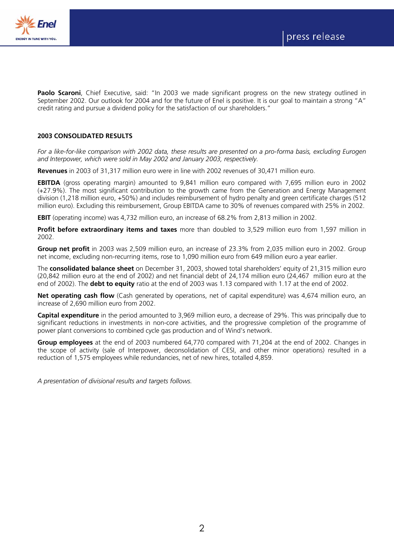

Paolo Scaroni, Chief Executive, said: "In 2003 we made significant progress on the new strategy outlined in September 2002. Our outlook for 2004 and for the future of Enel is positive. It is our goal to maintain a strong "A" credit rating and pursue a dividend policy for the satisfaction of our shareholders."

# **2003 CONSOLIDATED RESULTS**

*For a like-for-like comparison with 2002 data, these results are presented on a pro-forma basis, excluding Eurogen and Interpower, which were sold in May 2002 and January 2003, respectively.* 

**Revenues** in 2003 of 31,317 million euro were in line with 2002 revenues of 30,471 million euro.

**EBITDA** (gross operating margin) amounted to 9,841 million euro compared with 7,695 million euro in 2002 (+27.9%). The most significant contribution to the growth came from the Generation and Energy Management division (1,218 million euro, +50%) and includes reimbursement of hydro penalty and green certificate charges (512 million euro). Excluding this reimbursement, Group EBITDA came to 30% of revenues compared with 25% in 2002.

**EBIT** (operating income) was 4,732 million euro, an increase of 68.2% from 2,813 million in 2002.

**Profit before extraordinary items and taxes** more than doubled to 3,529 million euro from 1,597 million in 2002.

**Group net profit** in 2003 was 2,509 million euro, an increase of 23.3% from 2,035 million euro in 2002. Group net income, excluding non-recurring items, rose to 1,090 million euro from 649 million euro a year earlier.

The **consolidated balance sheet** on December 31, 2003, showed total shareholders' equity of 21,315 million euro (20,842 million euro at the end of 2002) and net financial debt of 24,174 million euro (24,467 million euro at the end of 2002). The **debt to equity** ratio at the end of 2003 was 1.13 compared with 1.17 at the end of 2002.

**Net operating cash flow** (Cash generated by operations, net of capital expenditure) was 4,674 million euro, an increase of 2,690 million euro from 2002.

**Capital expenditure** in the period amounted to 3,969 million euro, a decrease of 29%. This was principally due to significant reductions in investments in non-core activities, and the progressive completion of the programme of power plant conversions to combined cycle gas production and of Wind's network.

**Group employees** at the end of 2003 numbered 64,770 compared with 71,204 at the end of 2002. Changes in the scope of activity (sale of Interpower, deconsolidation of CESI, and other minor operations) resulted in a reduction of 1,575 employees while redundancies, net of new hires, totalled 4,859.

*A presentation of divisional results and targets follows.*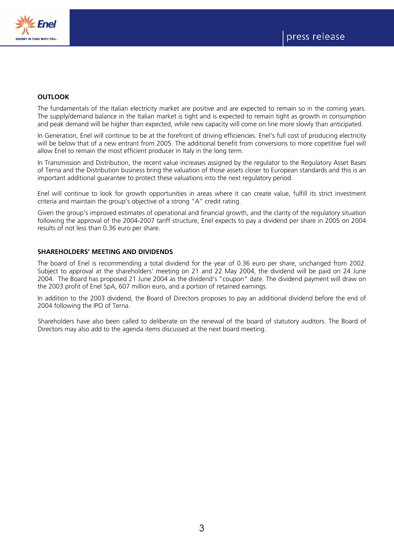

# **OUTLOOK**

The fundamentals of the Italian electricity market are positive and are expected to remain so in the coming years. The supply/demand balance in the Italian market is tight and is expected to remain tight as growth in consumption and peak demand will be higher than expected, while new capacity will come on line more slowly than anticipated.

In Generation, Enel will continue to be at the forefront of driving efficiencies. Enel's full cost of producing electricity will be below that of a new entrant from 2005. The additional benefit from conversions to more copetitive fuel will allow Enel to remain the most efficient producer in Italy in the long term.

In Transmission and Distribution, the recent value increases assigned by the regulator to the Regulatory Asset Bases of Terna and the Distribution business bring the valuation of those assets closer to European standards and this is an important additional guarantee to protect these valuations into the next regulatory period.

Enel will continue to look for growth opportunities in areas where it can create value, fulfill its strict investment criteria and maintain the group's objective of a strong "A" credit rating.

Given the group's improved estimates of operational and financial growth, and the clarity of the regulatory situation following the approval of the 2004-2007 tariff structure, Enel expects to pay a dividend per share in 2005 on 2004 results of not less than 0.36 euro per share.

## **SHAREHOLDERS' MEETING AND DIVIDENDS**

The board of Enel is recommending a total dividend for the year of 0.36 euro per share, unchanged from 2002. Subject to approval at the shareholders' meeting on 21 and 22 May 2004, the dividend will be paid on 24 June 2004. The Board has proposed 21 June 2004 as the dividend's "coupon" date. The dividend payment will draw on the 2003 profit of Enel SpA, 607 million euro, and a portion of retained earnings.

In addition to the 2003 dividend, the Board of Directors proposes to pay an additional dividend before the end of 2004 following the IPO of Terna.

Shareholders have also been called to deliberate on the renewal of the board of statutory auditors. The Board of Directors may also add to the agenda items discussed at the next board meeting.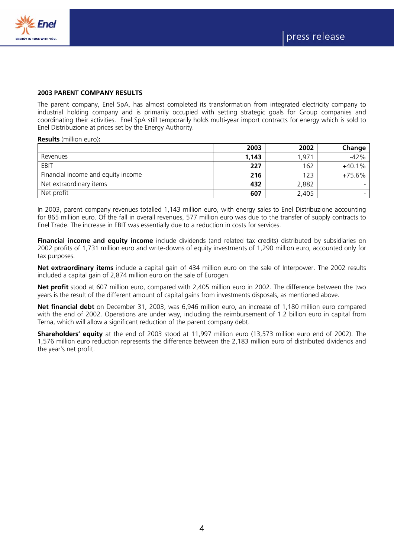

## **2003 PARENT COMPANY RESULTS**

The parent company, Enel SpA, has almost completed its transformation from integrated electricity company to industrial holding company and is primarily occupied with setting strategic goals for Group companies and coordinating their activities. Enel SpA still temporarily holds multi-year import contracts for energy which is sold to Enel Distribuzione at prices set by the Energy Authority.

#### **Results** (million euro)**:**

|                                    | 2003  | 2002  | Change   |
|------------------------------------|-------|-------|----------|
| Revenues                           | 1,143 | 1,971 | $-42%$   |
| EBIT                               | 227   | 162   | $+40.1%$ |
| Financial income and equity income | 216   | 123   | $+75.6%$ |
| Net extraordinary items            | 432   | 2,882 |          |
| Net profit                         | 607   | 2,405 |          |

In 2003, parent company revenues totalled 1,143 million euro, with energy sales to Enel Distribuzione accounting for 865 million euro. Of the fall in overall revenues, 577 million euro was due to the transfer of supply contracts to Enel Trade. The increase in EBIT was essentially due to a reduction in costs for services.

**Financial income and equity income** include dividends (and related tax credits) distributed by subsidiaries on 2002 profits of 1,731 million euro and write-downs of equity investments of 1,290 million euro, accounted only for tax purposes.

**Net extraordinary items** include a capital gain of 434 million euro on the sale of Interpower. The 2002 results included a capital gain of 2,874 million euro on the sale of Eurogen.

**Net profit** stood at 607 million euro, compared with 2,405 million euro in 2002. The difference between the two years is the result of the different amount of capital gains from investments disposals, as mentioned above.

**Net financial debt** on December 31, 2003, was 6,946 million euro, an increase of 1,180 million euro compared with the end of 2002. Operations are under way, including the reimbursement of 1.2 billion euro in capital from Terna, which will allow a significant reduction of the parent company debt.

**Shareholders' equity** at the end of 2003 stood at 11,997 million euro (13,573 million euro end of 2002). The 1,576 million euro reduction represents the difference between the 2,183 million euro of distributed dividends and the year's net profit.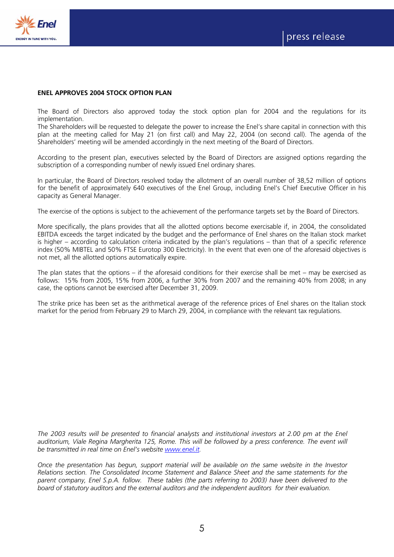

## **ENEL APPROVES 2004 STOCK OPTION PLAN**

The Board of Directors also approved today the stock option plan for 2004 and the regulations for its implementation.

The Shareholders will be requested to delegate the power to increase the Enel's share capital in connection with this plan at the meeting called for May 21 (on first call) and May 22, 2004 (on second call). The agenda of the Shareholders' meeting will be amended accordingly in the next meeting of the Board of Directors.

According to the present plan, executives selected by the Board of Directors are assigned options regarding the subscription of a corresponding number of newly issued Enel ordinary shares.

In particular, the Board of Directors resolved today the allotment of an overall number of 38,52 million of options for the benefit of approximately 640 executives of the Enel Group, including Enel's Chief Executive Officer in his capacity as General Manager.

The exercise of the options is subject to the achievement of the performance targets set by the Board of Directors.

More specifically, the plans provides that all the allotted options become exercisable if, in 2004, the consolidated EBITDA exceeds the target indicated by the budget and the performance of Enel shares on the Italian stock market is higher – according to calculation criteria indicated by the plan's regulations – than that of a specific reference index (50% MIBTEL and 50% FTSE Eurotop 300 Electricity). In the event that even one of the aforesaid objectives is not met, all the allotted options automatically expire.

The plan states that the options – if the aforesaid conditions for their exercise shall be met – may be exercised as follows: 15% from 2005, 15% from 2006, a further 30% from 2007 and the remaining 40% from 2008; in any case, the options cannot be exercised after December 31, 2009.

The strike price has been set as the arithmetical average of the reference prices of Enel shares on the Italian stock market for the period from February 29 to March 29, 2004, in compliance with the relevant tax regulations.

*The 2003 results will be presented to financial analysts and institutional investors at 2.00 pm at the Enel*  auditorium, Viale Regina Margherita 125, Rome. This will be followed by a press conference. The event will *be transmitted in real time on Enel's website www.enel.it.* 

*Once the presentation has begun, support material will be available on the same website in the Investor Relations section. The Consolidated Income Statement and Balance Sheet and the same statements for the parent company, Enel S.p.A. follow. These tables (the parts referring to 2003) have been delivered to the board of statutory auditors and the external auditors and the independent auditors for their evaluation.*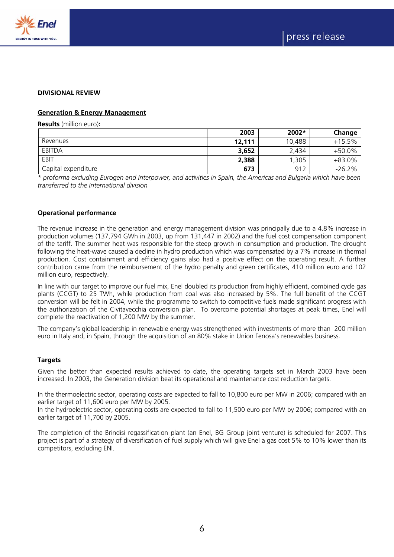

#### **DIVISIONAL REVIEW**

## **Generation & Energy Management**

**Results** (million euro)**:** 

|                     | 2003   | 2002*  | Change   |
|---------------------|--------|--------|----------|
| Revenues            | 12,111 | 10,488 | $+15.5%$ |
| EBITDA              | 3,652  | 2.434  | +50.0%   |
| EBIT                | 2,388  | ,305   | $+83.0%$ |
| Capital expenditure | 673    | 912    | $-26.2%$ |

*\* proforma excluding Eurogen and Interpower, and activities in Spain, the Americas and Bulgaria which have been transferred to the International division* 

## **Operational performance**

The revenue increase in the generation and energy management division was principally due to a 4.8% increase in production volumes (137,794 GWh in 2003, up from 131,447 in 2002) and the fuel cost compensation component of the tariff. The summer heat was responsible for the steep growth in consumption and production. The drought following the heat-wave caused a decline in hydro production which was compensated by a 7% increase in thermal production. Cost containment and efficiency gains also had a positive effect on the operating result. A further contribution came from the reimbursement of the hydro penalty and green certificates, 410 million euro and 102 million euro, respectively.

In line with our target to improve our fuel mix, Enel doubled its production from highly efficient, combined cycle gas plants (CCGT) to 25 TWh, while production from coal was also increased by 5%. The full benefit of the CCGT conversion will be felt in 2004, while the programme to switch to competitive fuels made significant progress with the authorization of the Civitavecchia conversion plan. To overcome potential shortages at peak times, Enel will complete the reactivation of 1,200 MW by the summer.

The company's global leadership in renewable energy was strengthened with investments of more than 200 million euro in Italy and, in Spain, through the acquisition of an 80% stake in Union Fenosa's renewables business.

#### **Targets**

Given the better than expected results achieved to date, the operating targets set in March 2003 have been increased. In 2003, the Generation division beat its operational and maintenance cost reduction targets.

In the thermoelectric sector, operating costs are expected to fall to 10,800 euro per MW in 2006; compared with an earlier target of 11,600 euro per MW by 2005.

In the hydroelectric sector, operating costs are expected to fall to 11,500 euro per MW by 2006; compared with an earlier target of 11,700 by 2005.

The completion of the Brindisi regassification plant (an Enel, BG Group joint venture) is scheduled for 2007. This project is part of a strategy of diversification of fuel supply which will give Enel a gas cost 5% to 10% lower than its competitors, excluding ENI.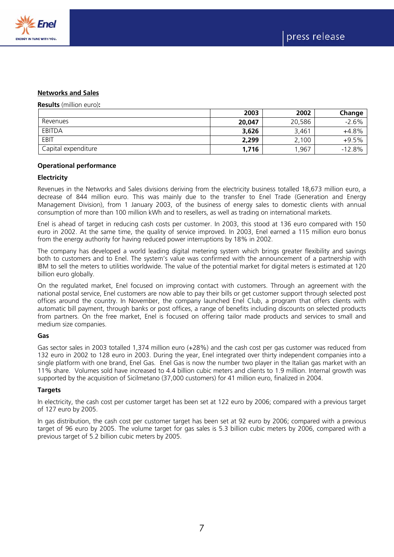



#### **Networks and Sales**

#### **Results** (million euro)**:**

|                     | 2003   | 2002   | Change   |
|---------------------|--------|--------|----------|
| Revenues            | 20,047 | 20,586 | $-2.6%$  |
| <b>EBITDA</b>       | 3,626  | 3,461  | $+4.8%$  |
| EBIT                | 2,299  | 2,100  | $+9.5%$  |
| Capital expenditure | 1,716  | 1,967  | $-12.8%$ |

#### **Operational performance**

#### **Electricity**

Revenues in the Networks and Sales divisions deriving from the electricity business totalled 18,673 million euro, a decrease of 844 million euro. This was mainly due to the transfer to Enel Trade (Generation and Energy Management Division), from 1 January 2003, of the business of energy sales to domestic clients with annual consumption of more than 100 million kWh and to resellers, as well as trading on international markets.

Enel is ahead of target in reducing cash costs per customer. In 2003, this stood at 136 euro compared with 150 euro in 2002. At the same time, the quality of service improved. In 2003, Enel earned a 115 million euro bonus from the energy authority for having reduced power interruptions by 18% in 2002.

The company has developed a world leading digital metering system which brings greater flexibility and savings both to customers and to Enel. The system's value was confirmed with the announcement of a partnership with IBM to sell the meters to utilities worldwide. The value of the potential market for digital meters is estimated at 120 billion euro globally.

On the regulated market, Enel focused on improving contact with customers. Through an agreement with the national postal service, Enel customers are now able to pay their bills or get customer support through selected post offices around the country. In November, the company launched Enel Club, a program that offers clients with automatic bill payment, through banks or post offices, a range of benefits including discounts on selected products from partners. On the free market, Enel is focused on offering tailor made products and services to small and medium size companies.

#### **Gas**

Gas sector sales in 2003 totalled 1,374 million euro (+28%) and the cash cost per gas customer was reduced from 132 euro in 2002 to 128 euro in 2003. During the year, Enel integrated over thirty independent companies into a single platform with one brand, Enel Gas. Enel Gas is now the number two player in the Italian gas market with an 11% share. Volumes sold have increased to 4.4 billion cubic meters and clients to 1.9 million. Internal growth was supported by the acquisition of Sicilmetano (37,000 customers) for 41 million euro, finalized in 2004.

#### **Targets**

In electricity, the cash cost per customer target has been set at 122 euro by 2006; compared with a previous target of 127 euro by 2005.

In gas distribution, the cash cost per customer target has been set at 92 euro by 2006; compared with a previous target of 96 euro by 2005. The volume target for gas sales is 5.3 billion cubic meters by 2006, compared with a previous target of 5.2 billion cubic meters by 2005.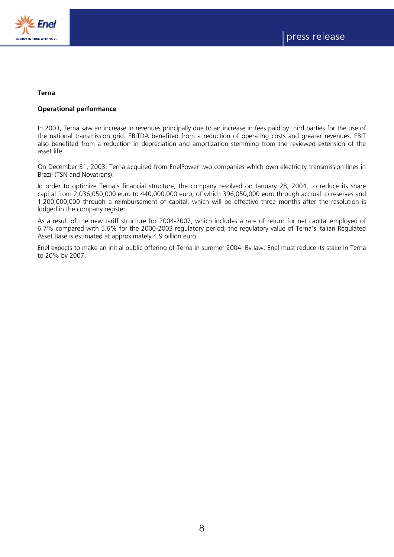

# **Terna**

# **Operational performance**

In 2003, Terna saw an increase in revenues principally due to an increase in fees paid by third parties for the use of the national transmission grid. EBITDA benefited from a reduction of operating costs and greater revenues. EBIT also benefited from a reduction in depreciation and amortization stemming from the reviewed extension of the asset life.

On December 31, 2003, Terna acquired from EnelPower two companies which own electricity transmission lines in Brazil (TSN and Novatrans).

In order to optimize Terna's financial structure, the company resolved on January 28, 2004, to reduce its share capital from 2,036,050,000 euro to 440,000,000 euro, of which 396,050,000 euro through accrual to reserves and 1,200,000,000 through a reimbursement of capital, which will be effective three months after the resolution is lodged in the company register.

As a result of the new tariff structure for 2004-2007, which includes a rate of return for net capital employed of 6.7% compared with 5.6% for the 2000-2003 regulatory period, the regulatory value of Terna's Italian Regulated Asset Base is estimated at approximately 4.9 billion euro.

Enel expects to make an initial public offering of Terna in summer 2004. By law, Enel must reduce its stake in Terna to 20% by 2007.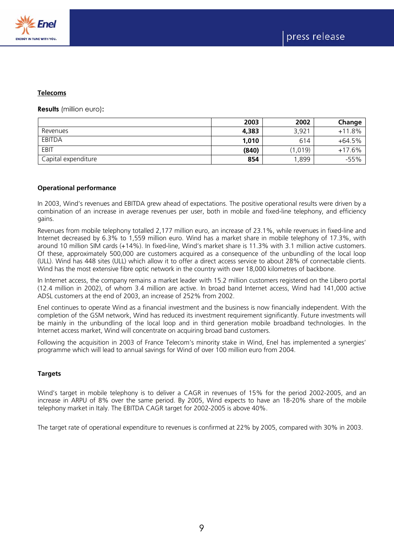

#### **Telecoms**

**Results** (million euro)**:**

|                     | 2003  | 2002              | Change   |
|---------------------|-------|-------------------|----------|
| Revenues            | 4,383 | 3,92 <sup>1</sup> | $+11.8%$ |
| EBITDA              | 1,010 | 614               | $+64.5%$ |
| EBIT                | (840) | (1,019)           | $+17.6%$ |
| Capital expenditure | 854   | .899              | $-55%$   |

## **Operational performance**

In 2003, Wind's revenues and EBITDA grew ahead of expectations. The positive operational results were driven by a combination of an increase in average revenues per user, both in mobile and fixed-line telephony, and efficiency gains.

Revenues from mobile telephony totalled 2,177 million euro, an increase of 23.1%, while revenues in fixed-line and Internet decreased by 6.3% to 1,559 million euro. Wind has a market share in mobile telephony of 17.3%, with around 10 million SIM cards (+14%). In fixed-line, Wind's market share is 11.3% with 3.1 million active customers. Of these, approximately 500,000 are customers acquired as a consequence of the unbundling of the local loop (ULL). Wind has 448 sites (ULL) which allow it to offer a direct access service to about 28% of connectable clients. Wind has the most extensive fibre optic network in the country with over 18,000 kilometres of backbone.

In Internet access, the company remains a market leader with 15.2 million customers registered on the Libero portal (12.4 million in 2002), of whom 3.4 million are active. In broad band Internet access, Wind had 141,000 active ADSL customers at the end of 2003, an increase of 252% from 2002.

Enel continues to operate Wind as a financial investment and the business is now financially independent. With the completion of the GSM network, Wind has reduced its investment requirement significantly. Future investments will be mainly in the unbundling of the local loop and in third generation mobile broadband technologies. In the Internet access market, Wind will concentrate on acquiring broad band customers.

Following the acquisition in 2003 of France Telecom's minority stake in Wind, Enel has implemented a synergies' programme which will lead to annual savings for Wind of over 100 million euro from 2004.

# **Targets**

Wind's target in mobile telephony is to deliver a CAGR in revenues of 15% for the period 2002-2005, and an increase in ARPU of 8% over the same period. By 2005, Wind expects to have an 18-20% share of the mobile telephony market in Italy. The EBITDA CAGR target for 2002-2005 is above 40%.

The target rate of operational expenditure to revenues is confirmed at 22% by 2005, compared with 30% in 2003.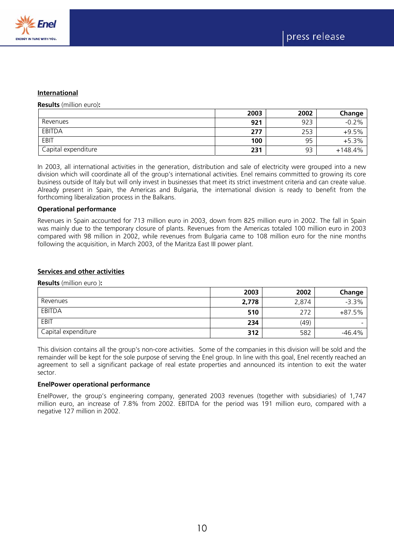

#### **International**

**Results** (million euro)**:** 

|                     | 2003 | 2002 | Change    |
|---------------------|------|------|-----------|
| Revenues            | 921  | 923  | $-0.2%$   |
| EBITDA              | 277  | 253  | $+9.5%$   |
| EBIT                | 100  | 95   | $+5.3%$   |
| Capital expenditure | 231  | 93   | $+148.4%$ |

In 2003, all international activities in the generation, distribution and sale of electricity were grouped into a new division which will coordinate all of the group's international activities. Enel remains committed to growing its core business outside of Italy but will only invest in businesses that meet its strict investment criteria and can create value. Already present in Spain, the Americas and Bulgaria, the international division is ready to benefit from the forthcoming liberalization process in the Balkans.

#### **Operational performance**

Revenues in Spain accounted for 713 million euro in 2003, down from 825 million euro in 2002. The fall in Spain was mainly due to the temporary closure of plants. Revenues from the Americas totaled 100 million euro in 2003 compared with 98 million in 2002, while revenues from Bulgaria came to 108 million euro for the nine months following the acquisition, in March 2003, of the Maritza East III power plant.

# **Services and other activities**

**Results** (million euro )**:** 

|                     | 2003  | 2002  | Change   |
|---------------------|-------|-------|----------|
| Revenues            | 2,778 | 2,874 | $-3.3%$  |
| <b>EBITDA</b>       | 510   | 272   | $+87.5%$ |
| EBIT                | 234   | (49)  | -        |
| Capital expenditure | 312   | 582   | $-46.4%$ |

This division contains all the group's non-core activities. Some of the companies in this division will be sold and the remainder will be kept for the sole purpose of serving the Enel group. In line with this goal, Enel recently reached an agreement to sell a significant package of real estate properties and announced its intention to exit the water sector.

#### **EnelPower operational performance**

EnelPower, the group's engineering company, generated 2003 revenues (together with subsidiaries) of 1,747 million euro, an increase of 7.8% from 2002. EBITDA for the period was 191 million euro, compared with a negative 127 million in 2002.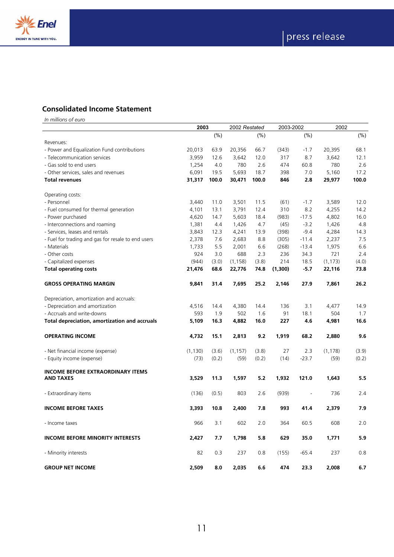

# **Consolidated Income Statement**

|                                                              | 2003     |       | 2002 Restated |       | 2003-2002 |                | 2002     |        |
|--------------------------------------------------------------|----------|-------|---------------|-------|-----------|----------------|----------|--------|
|                                                              |          | (% )  |               | (%)   |           | $(\%)$         |          | $(\%)$ |
| Revenues:                                                    |          |       |               |       |           |                |          |        |
| - Power and Equalization Fund contributions                  | 20,013   | 63.9  | 20,356        | 66.7  | (343)     | $-1.7$         | 20,395   | 68.1   |
| - Telecommunication services                                 | 3,959    | 12.6  | 3,642         | 12.0  | 317       | 8.7            | 3,642    | 12.1   |
| - Gas sold to end users                                      | 1,254    | 4.0   | 780           | 2.6   | 474       | 60.8           | 780      | 2.6    |
| - Other services, sales and revenues                         | 6,091    | 19.5  | 5,693         | 18.7  | 398       | 7.0            | 5,160    | 17.2   |
| <b>Total revenues</b>                                        | 31,317   | 100.0 | 30,471        | 100.0 | 846       | 2.8            | 29,977   | 100.0  |
| Operating costs:                                             |          |       |               |       |           |                |          |        |
| - Personnel                                                  | 3,440    | 11.0  | 3,501         | 11.5  | (61)      | $-1.7$         | 3,589    | 12.0   |
| - Fuel consumed for thermal generation                       | 4,101    | 13.1  | 3,791         | 12.4  | 310       | 8.2            | 4,255    | 14.2   |
| - Power purchased                                            | 4,620    | 14.7  | 5,603         | 18.4  | (983)     | $-17.5$        | 4,802    | 16.0   |
| - Interconnections and roaming                               | 1,381    | 4.4   | 1,426         | 4.7   | (45)      | $-3.2$         | 1,426    | 4.8    |
| - Services, leases and rentals                               | 3,843    | 12.3  | 4,241         | 13.9  | (398)     | $-9.4$         | 4,284    | 14.3   |
| - Fuel for trading and gas for resale to end users           | 2,378    | 7.6   | 2,683         | 8.8   | (305)     | $-11.4$        | 2,237    | 7.5    |
| - Materials                                                  | 1,733    | 5.5   | 2,001         | 6.6   | (268)     | $-13.4$        | 1,975    | 6.6    |
| - Other costs                                                | 924      | 3.0   | 688           | 2.3   | 236       | 34.3           | 721      | 2.4    |
| - Capitalized expenses                                       | (944)    | (3.0) | (1, 158)      | (3.8) | 214       | 18.5           | (1, 173) | (4.0)  |
| <b>Total operating costs</b>                                 | 21,476   | 68.6  | 22,776        | 74.8  | (1,300)   | $-5.7$         | 22,116   | 73.8   |
| <b>GROSS OPERATING MARGIN</b>                                | 9,841    | 31.4  | 7,695         | 25.2  | 2,146     | 27.9           | 7,861    | 26.2   |
| Depreciation, amortization and accruals:                     |          |       |               |       |           |                |          |        |
| - Depreciation and amortization                              | 4,516    | 14.4  | 4,380         | 14.4  | 136       | 3.1            | 4,477    | 14.9   |
| - Accruals and write-downs                                   | 593      | 1.9   | 502           | 1.6   | 91        | 18.1           | 504      | 1.7    |
| Total depreciation, amortization and accruals                | 5,109    | 16.3  | 4,882         | 16.0  | 227       | 4.6            | 4,981    | 16.6   |
| <b>OPERATING INCOME</b>                                      | 4,732    | 15.1  | 2,813         | 9.2   | 1,919     | 68.2           | 2,880    | 9.6    |
| - Net financial income (expense)                             | (1, 130) | (3.6) | (1, 157)      | (3.8) | 27        | 2.3            | (1, 178) | (3.9)  |
| - Equity income (expense)                                    | (73)     | (0.2) | (59)          | (0.2) | (14)      | $-23.7$        | (59)     | (0.2)  |
| <b>INCOME BEFORE EXTRAORDINARY ITEMS</b><br><b>AND TAXES</b> | 3,529    |       | 1,597         | 5.2   |           |                |          | 5.5    |
|                                                              |          | 11.3  |               |       | 1,932     | 121.0          | 1,643    |        |
| - Extraordinary items                                        | (136)    | (0.5) | 803           | 2.6   | (939)     | $\overline{a}$ | 736      | 2.4    |
| <b>INCOME BEFORE TAXES</b>                                   | 3,393    | 10.8  | 2,400         | 7.8   | 993       | 41.4           | 2,379    | 7.9    |
| - Income taxes                                               | 966      | 3.1   | 602           | 2.0   | 364       | 60.5           | 608      | 2.0    |
| <b>INCOME BEFORE MINORITY INTERESTS</b>                      | 2,427    | 7.7   | 1,798         | 5.8   | 629       | 35.0           | 1,771    | 5.9    |
| - Minority interests                                         | 82       | 0.3   | 237           | 0.8   | (155)     | $-65.4$        | 237      | 0.8    |
| <b>GROUP NET INCOME</b>                                      | 2,509    | 8.0   | 2.035         | 6.6   | 474       | 23.3           | 2.008    | 6.7    |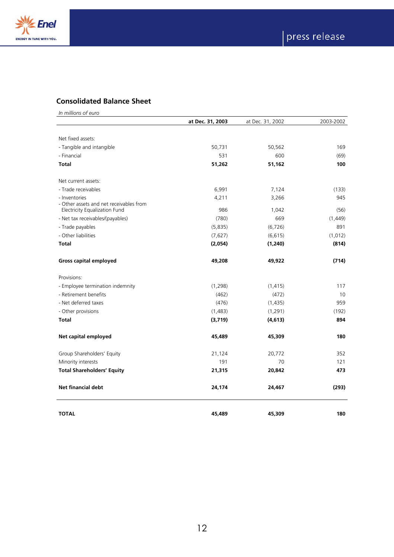

# **Consolidated Balance Sheet**

|                                                          | at Dec. 31, 2003 | at Dec. 31, 2002 | 2003-2002 |
|----------------------------------------------------------|------------------|------------------|-----------|
|                                                          |                  |                  |           |
| Net fixed assets:                                        |                  |                  |           |
| - Tangible and intangible                                | 50,731           | 50,562           | 169       |
| - Financial                                              | 531              | 600              | (69)      |
| <b>Total</b>                                             | 51,262           | 51,162           | 100       |
| Net current assets:                                      |                  |                  |           |
| - Trade receivables                                      | 6,991            | 7,124            | (133)     |
| - Inventories<br>- Other assets and net receivables from | 4,211            | 3,266            | 945       |
| Electricity Equalization Fund                            | 986              | 1,042            | (56)      |
| - Net tax receivables/(payables)                         | (780)            | 669              | (1,449)   |
| - Trade payables                                         | (5,835)          | (6, 726)         | 891       |
| - Other liabilities                                      | (7,627)          | (6, 615)         | (1,012)   |
| <b>Total</b>                                             | (2,054)          | (1, 240)         | (814)     |
| <b>Gross capital employed</b>                            | 49,208           | 49,922           | (714)     |
| Provisions:                                              |                  |                  |           |
| - Employee termination indemnity                         | (1, 298)         | (1, 415)         | 117       |
| - Retirement benefits                                    | (462)            | (472)            | 10        |
| - Net deferred taxes                                     | (476)            | (1,435)          | 959       |
| - Other provisions                                       | (1,483)          | (1, 291)         | (192)     |
| <b>Total</b>                                             | (3,719)          | (4, 613)         | 894       |
| Net capital employed                                     | 45,489           | 45,309           | 180       |
| Group Shareholders' Equity                               | 21,124           | 20,772           | 352       |
| Minority interests                                       | 191              | 70               | 121       |
| <b>Total Shareholders' Equity</b>                        | 21,315           | 20,842           | 473       |
| <b>Net financial debt</b>                                | 24,174           | 24,467           | (293)     |
| <b>TOTAL</b>                                             | 45,489           | 45,309           | 180       |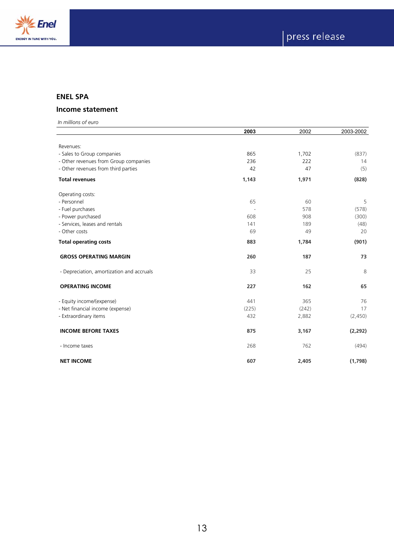

# **ENEL SPA**

# **Income statement**

|                                           | 2003  | 2002  | 2003-2002 |
|-------------------------------------------|-------|-------|-----------|
|                                           |       |       |           |
| Revenues:                                 |       |       |           |
| - Sales to Group companies                | 865   | 1,702 | (837)     |
| - Other revenues from Group companies     | 236   | 222   | 14        |
| - Other revenues from third parties       | 42    | 47    | (5)       |
| <b>Total revenues</b>                     | 1,143 | 1,971 | (828)     |
| Operating costs:                          |       |       |           |
| - Personnel                               | 65    | 60    | 5         |
| - Fuel purchases                          |       | 578   | (578)     |
| - Power purchased                         | 608   | 908   | (300)     |
| - Services, leases and rentals            | 141   | 189   | (48)      |
| - Other costs                             | 69    | 49    | 20        |
| <b>Total operating costs</b>              | 883   | 1,784 | (901)     |
| <b>GROSS OPERATING MARGIN</b>             | 260   | 187   | 73        |
| - Depreciation, amortization and accruals | 33    | 25    | 8         |
| <b>OPERATING INCOME</b>                   | 227   | 162   | 65        |
| - Equity income/(expense)                 | 441   | 365   | 76        |
| - Net financial income (expense)          | (225) | (242) | 17        |
| - Extraordinary items                     | 432   | 2,882 | (2,450)   |
| <b>INCOME BEFORE TAXES</b>                | 875   | 3,167 | (2, 292)  |
| - Income taxes                            | 268   | 762   | (494)     |
| <b>NET INCOME</b>                         | 607   | 2,405 | (1,798)   |